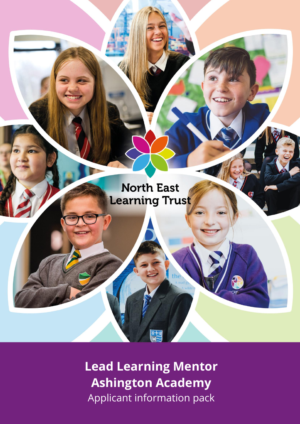

**Lead Learning Mentor Ashington Academy** Applicant information pack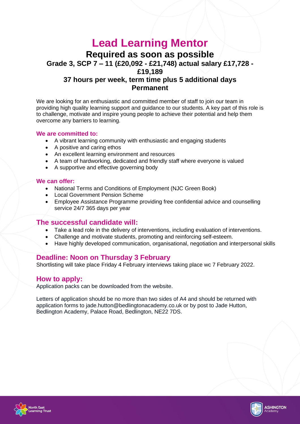# **Lead Learning Mentor**

**Required as soon as possible**

**Grade 3, SCP 7 – 11 (£20,092 - £21,748) actual salary £17,728 - £19,189**

## **37 hours per week, term time plus 5 additional days Permanent**

We are looking for an enthusiastic and committed member of staff to join our team in providing high quality learning support and guidance to our students. A key part of this role is to challenge, motivate and inspire young people to achieve their potential and help them overcome any barriers to learning.

#### **We are committed to:**

- A vibrant learning community with enthusiastic and engaging students
- A positive and caring ethos
- An excellent learning environment and resources
- A team of hardworking, dedicated and friendly staff where everyone is valued
- A supportive and effective governing body

## **We can offer:**

- National Terms and Conditions of Employment (NJC Green Book)
- Local Government Pension Scheme
- Employee Assistance Programme providing free confidential advice and counselling service 24/7 365 days per year

## **The successful candidate will:**

- Take a lead role in the delivery of interventions, including evaluation of interventions.
- Challenge and motivate students, promoting and reinforcing self-esteem.
- Have highly developed communication, organisational, negotiation and interpersonal skills

## **Deadline: Noon on Thursday 3 February**

Shortlisting will take place Friday 4 February interviews taking place wc 7 February 2022.

## **How to apply:**

Application packs can be downloaded from the website.

Letters of application should be no more than two sides of A4 and should be returned with application forms to jade.hutton@bedlingtonacademy.co.uk or by post to Jade Hutton, Bedlington Academy, Palace Road, Bedlington, NE22 7DS.



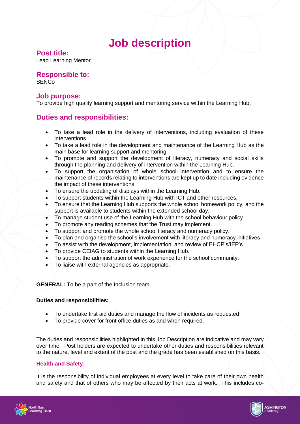## **Job description**

## **Post title:**

Lead Learning Mentor

## **Responsible to:**

**SENCo** 

## **Job purpose:**

To provide high quality learning support and mentoring service within the Learning Hub.

## **Duties and responsibilities:**

- To take a lead role in the delivery of interventions, including evaluation of these interventions.
- To take a lead role in the development and maintenance of the Learning Hub as the main base for learning support and mentoring.
- To promote and support the development of literacy, numeracy and social skills through the planning and delivery of intervention within the Learning Hub.
- To support the organisation of whole school intervention and to ensure the maintenance of records relating to interventions are kept up to date including evidence the impact of these interventions.
- To ensure the updating of displays within the Learning Hub.
- To support students within the Learning Hub with ICT and other resources.
- To ensure that the Learning Hub supports the whole school homework policy, and the support is available to students within the extended school day.
- To manage student use of the Learning Hub with the school behaviour policy.
- To promote any reading schemes that the Trust may implement.
- To support and promote the whole school literacy and numeracy policy.
- To plan and organise the school's involvement with literacy and numeracy initiatives
- To assist with the development, implementation, and review of EHCP's/IEP's
- To provide CEIAG to students within the Learning Hub.
- To support the administration of work experience for the school community.
- To liaise with external agencies as appropriate.

## **GENERAL:** To be a part of the Inclusion team

## **Duties and responsibilities:**

- To undertake first aid duties and manage the flow of incidents as requested
- To provide cover for front office duties as and when required.

The duties and responsibilities highlighted in this Job Description are indicative and may vary over time. Post holders are expected to undertake other duties and responsibilities relevant to the nature, level and extent of the post and the grade has been established on this basis.

## **Health and Safety:**

It is the responsibility of individual employees at every level to take care of their own health and safety and that of others who may be affected by their acts at work. This includes co-



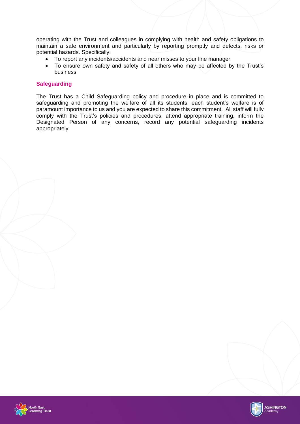operating with the Trust and colleagues in complying with health and safety obligations to maintain a safe environment and particularly by reporting promptly and defects, risks or potential hazards. Specifically:

- To report any incidents/accidents and near misses to your line manager<br>• To ensure own safety and safety of all others who may be affected b
- To ensure own safety and safety of all others who may be affected by the Trust's business

#### **Safeguarding**

The Trust has a Child Safeguarding policy and procedure in place and is committed to safeguarding and promoting the welfare of all its students, each student's welfare is of paramount importance to us and you are expected to share this commitment. All staff will fully comply with the Trust's policies and procedures, attend appropriate training, inform the Designated Person of any concerns, record any potential safeguarding incidents appropriately.



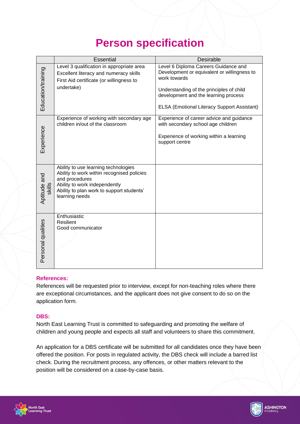## **Person specification**

|                        | <b>Essential</b>                                                                                                                                                                                     | <b>Desirable</b>                                                                                                                                                                                                                              |
|------------------------|------------------------------------------------------------------------------------------------------------------------------------------------------------------------------------------------------|-----------------------------------------------------------------------------------------------------------------------------------------------------------------------------------------------------------------------------------------------|
| Education/training     | Level 3 qualification in appropriate area<br>Excellent literacy and numeracy skills<br>First Aid certificate (or willingness to<br>undertake)                                                        | Level 6 Diploma Careers Guidance and<br>Development or equivalent or willingness to<br>work towards<br>Understanding of the principles of child<br>development and the learning process<br><b>ELSA (Emotional Literacy Support Assistant)</b> |
| Experience             | Experience of working with secondary age<br>children in/out of the classroom                                                                                                                         | Experience of career advice and guidance<br>with secondary school age children<br>Experience of working within a learning<br>support centre                                                                                                   |
| Aptitude and<br>skills | Ability to use learning technologies<br>Ability to work within recognised policies<br>and procedures<br>Ability to work independently<br>Ability to plan work to support students'<br>learning needs |                                                                                                                                                                                                                                               |
| Personal qualities     | Enthusiastic<br><b>Resilient</b><br>Good communicator                                                                                                                                                |                                                                                                                                                                                                                                               |

## **References:**

References will be requested prior to interview, except for non-teaching roles where there are exceptional circumstances, and the applicant does not give consent to do so on the application form.

#### **DBS:**

North East Learning Trust is committed to safeguarding and promoting the welfare of children and young people and expects all staff and volunteers to share this commitment.

An application for a DBS certificate will be submitted for all candidates once they have been offered the position. For posts in regulated activity, the DBS check will include a barred list check. During the recruitment process, any offences, or other matters relevant to the position will be considered on a case-by-case basis.